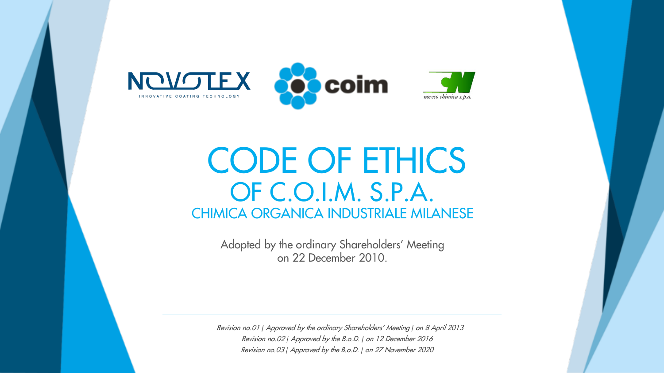

## CODE OF ETHICS OF C.O.I.M. S.P.A. CHIMICA ORGANICA INDUSTRIALE MILANESE

Adopted by the ordinary Shareholders' Meeting on 22 December 2010.

Revision no.01 *|* Approved by the ordinary Shareholders' Meeting *|* on 8 April 2013 Revision no.02 *|* Approved by the B.o.D. *|* on 12 December <sup>2016</sup> Revision no.03 *|* Approved by the B.o.D. *|* on 27 November <sup>2020</sup>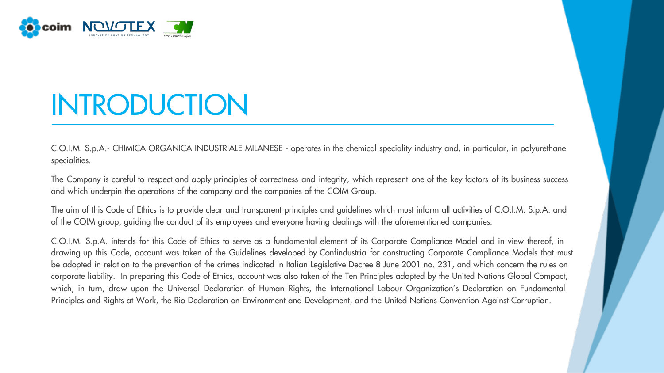

# INTRODUCTION

C.O.I.M. S.p.A.- CHIMICA ORGANICA INDUSTRIALE MILANESE - operates in the chemical speciality industry and, in particular, in polyurethane specialities.

The Company is careful to respect and apply principles of correctness and integrity, which represent one of the key factors of its business success and which underpin the operations of the company and the companies of the COIM Group.

The aim of this Code of Ethics is to provide clear and transparent principles and guidelines which must inform all activities of C.O.I.M. S.p.A. and of the COIM group, guiding the conduct of its employees and everyone having dealings with the aforementioned companies.

C.O.I.M. S.p.A. intends for this Code of Ethics to serve as a fundamental element of its Corporate Compliance Model and in view thereof, in drawing up this Code, account was taken of the Guidelines developed by Confindustria for constructing Corporate Compliance Models that must be adopted in relation to the prevention of the crimes indicated in Italian Legislative Decree 8 June 2001 no. 231, and which concern the rules on corporate liability. In preparing this Code of Ethics, account was also taken of the Ten Principles adopted by the United Nations Global Compact, which, in turn, draw upon the Universal Declaration of Human Rights, the International Labour Organization's Declaration on Fundamental Principles and Rights at Work, the Rio Declaration on Environment and Development, and the United Nations Convention Against Corruption.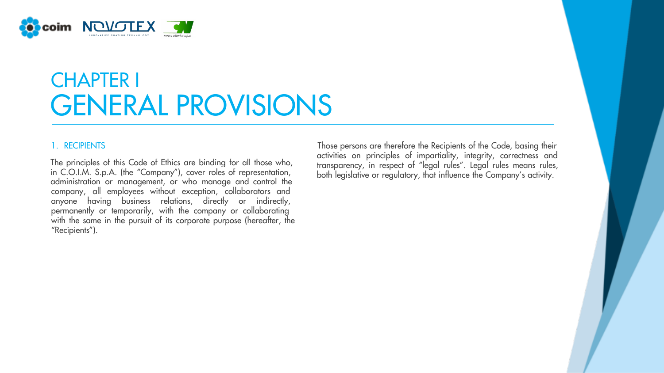

## CHAPTER I GENERAL PROVISIONS

company, all employees without exception, collaborators and anyone having business relations, directly or indirectly, permanently or temporarily, with the company or collaborating with the same in the pursuit of its corporate purpose (hereafter, the "Recipients"). The principles of this Code of Ethics are binding for all those who, in C.O.I.M. S.p.A. (the "Company"), cover roles of representation, administration or management, or who manage and control the

1. RECIPIENTS Those persons are therefore the Recipients of the Code, basing their activities on principles of impartiality, integrity, correctness and transparency, in respect of "legal rules". Legal rules means rules, both legislative or regulatory, that influence the Company's activity.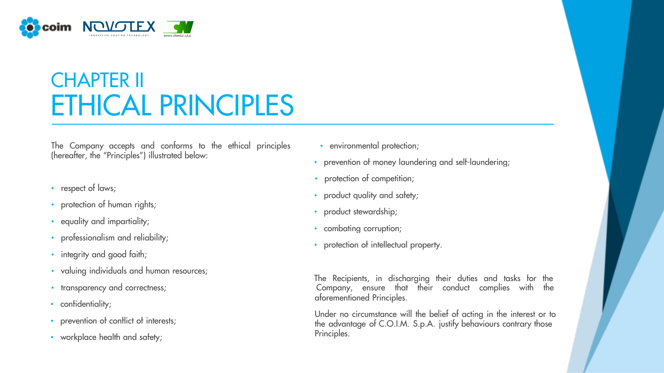

## CHAPTER II ETHICAL PRINCIPLES

The Company accepts and conforms to the ethical principles • environmental protection; (hereafter, the "Principles") illustrated below:

- respect of laws;
- protection of human rights;
- equality and impartiality;
- professionalism and reliability;
- integrity and good faith;
- valuing individuals and human resources;
- 
- confidentiality;
- prevention of conflict of interests;
- workplace health and safety;
- 
- prevention of money laundering and self-laundering;
- protection of competition;
- product quality and safety;
- product stewardship;
- combating corruption;
- protection of intellectual property.

• transparency and correctness; and their conduct complies with the their conduct complies with the aforementioned Principles. The Recipients, in discharging their duties and tasks for the

> Under no circumstance will the belief of acting in the interest or to the advantage of C.O.I.M. S.p.A. justify behaviours contrary those Principles.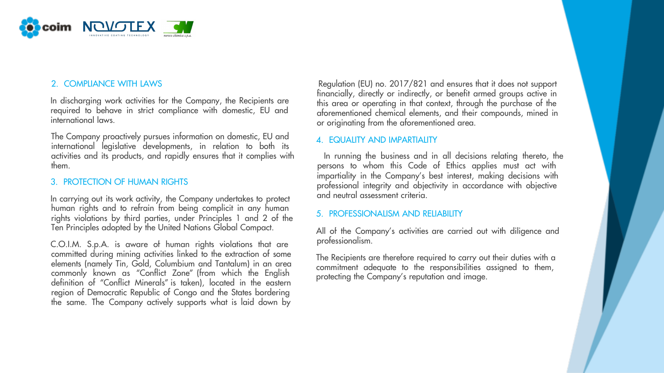

In discharging work activities for the Company, the Recipients are required to behave in strict compliance with domestic, EU and international laws.

The Company proactively pursues information on domestic, EU and international legislative developments, in relation to both its them. persons to whom this Code of Ethics applies must act with

## 3. PROTECTION OF HUMAN RIGHTS

human rights and to refrain from being complicit in any human rights violations by third parties, under Principles 1 and 2 of the Ten Principles adopted by the United Nations Global Compact. In carrying out its work activity, the Company undertakes to protect

committed during mining activities linked to the extraction of some elements (namely Tin, Gold, Columbium and Tantalum) in an area commonly known as "Conflict Zone" (from which the English definition of "Conflict Minerals" is taken), located in the eastern region of Democratic Republic of Congo and the States bordering the same. The Company actively supports what is laid down by C.O.I.M. S.p.A. is aware of human rights violations that are

2. COMPLIANCE WITH LAWS **Regulation (EU) no. 2017/821** and ensures that it does not support financially, directly or indirectly, or benefit armed groups active in this area or operating in that context, through the purchase of the aforementioned chemical elements, and their compounds, mined in or originating from the aforementioned area.

## 4. EQUALITY AND IMPARTIALITY

activities and its products, and rapidly ensures that it complies with In running the business and in all decisions relating thereto, the impartiality in the Company's best interest, making decisions with professional integrity and objectivity in accordance with objective and neutral assessment criteria.

## 5. PROFESSIONALISM AND RELIABILITY

professionalism. All of the Company's activities are carried out with diligence and

The Recipients are therefore required to carry out their duties with a commitment adequate to the responsibilities assigned to them, protecting the Company's reputation and image.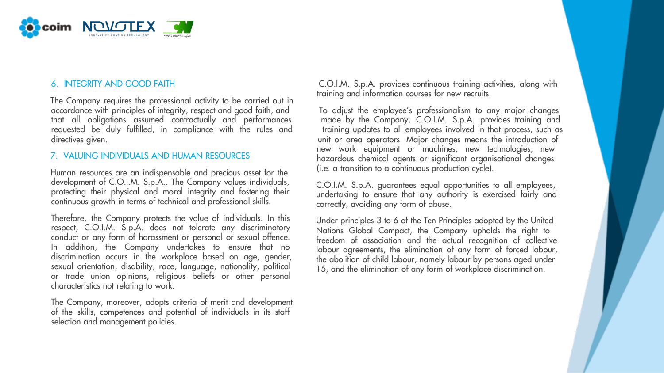

accordance with principles of integrity, respect and good faith, and To adjust the employee's professionalism to any major changes<br>that all obligations assumed contractually and performances and hade by the Company, C.O.I. requested be duly fulfilled, in compliance with the rules and training updates to all employees involved in that process, such as directives given. unit or area operators. Major changes means the introduction of The Company requires the professional activity to be carried out in

## 7. VALUING INDIVIDUALS AND HUMAN RESOURCES

development of C.O.I.M. S.p.A.. The Company values individuals, protecting their physical and moral integrity and fostering their continuous growth in terms of technical and professional skills. Human resources are an indispensable and precious asset for the

Therefore, the Company protects the value of individuals. In this respect, C.O.I.M. S.p.A. does not tolerate any discriminatory conduct or any form of harassment or personal or sexual offence. In addition, the Company undertakes to ensure that no discrimination occurs in the workplace based on age, gender, sexual orientation, disability, race, language, nationality, political or trade union opinions, religious beliefs or other personal characteristics not relating to work.

The Company, moreover, adopts criteria of merit and development of the skills, competences and potential of individuals in its staff selection and management policies.

6. INTEGRITY AND GOOD FAITH C.O.I.M. S.p.A. provides continuous training activities, along with training and information courses for new recruits.

> made by the Company, C.O.I.M. S.p.A. provides training and new work equipment or machines, new technologies, new hazardous chemical agents or significant organisational changes (i.e. a transition to a continuous production cycle).

C.O.I.M. S.p.A. guarantees equal opportunities to all employees, undertaking to ensure that any authority is exercised fairly and correctly, avoiding any form of abuse.

Under principles 3 to 6 of the Ten Principles adopted by the United Nations Global Compact, the Company upholds the right to freedom of association and the actual recognition of collective labour agreements, the elimination of any form of forced labour, the abolition of child labour, namely labour by persons aged under 15, and the elimination of any form of workplace discrimination.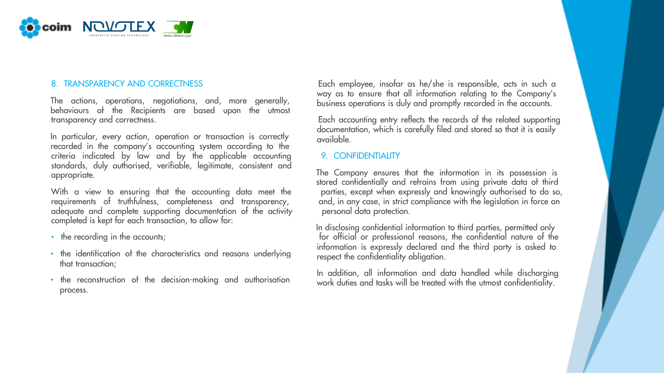

transparency and correctness. Each accounting entry reflects the records of the related supporting The actions, operations, negotiations, and, more generally, behaviours of the Recipients are based upon the utmost

criteria indicated by law and by the applicable accounting 9. CONFIDENTIALITY standards, duly authorised, verifiable, legitimate, consistent and appropriate. In particular, every action, operation or transaction is correctly recorded in the company's accounting system according to the

With a view to ensuring that the accounting data meet the parties, except when expressly and knowingly authorised to do so, requirements of truthfulness, completeness and transparency, and, in any case, in strict compliance with the legislation in force on adequate and complete supporting documentation of the activity personal data protection. completed is kept for each transaction, to allow for:

- 
- the identification of the characteristics and reasons underlying that transaction;
- the reconstruction of the decision-making and authorisation process.

8. TRANSPARENCY AND CORRECTNESS Each employee, insofar as he/she is responsible, acts in such a way as to ensure that all information relating to the Company's business operations is duly and promptly recorded in the accounts.

> documentation, which is carefully filed and stored so that it is easily available.

The Company ensures that the information in its possession is stored confidentially and refrains from using private data of third

• the recording in the accounts; **the recording in the accounts**; **for official or professional reasons**, the confidential nature of the information is expressly declared and the third party is asked to respect the confidentiality obligation. In disclosing confidential information to third parties, permitted only

> In addition, all information and data handled while discharging work duties and tasks will be treated with the utmost confidentiality.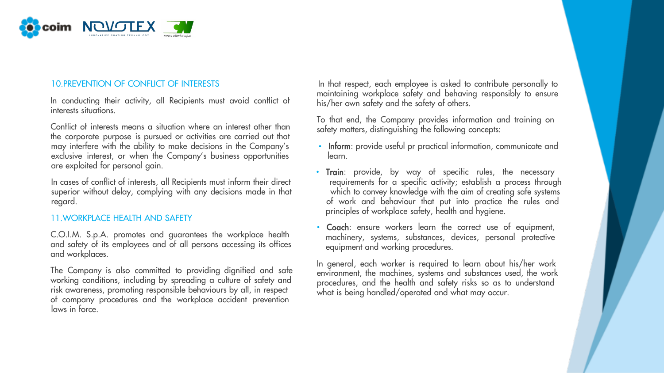

In conducting their activity, all Recipients must avoid conflict of interests situations.

exclusive interest, or when the Company's business opportunities learn. are exploited for personal gain. Conflict of interests means a situation where an interest other than the corporate purpose is pursued or activities are carried out that

superior without delay, complying with any decisions made in that

## 11.WORKPLACE HEALTH AND SAFETY

C.O.I.M. S.p.A. promotes and guarantees the workplace health and safety of its employees and of all persons accessing its offices and workplaces.

laws in force. The Company is also committed to providing dignified and safe working conditions, including by spreading a culture of safety and risk awareness, promoting responsible behaviours by all, in respect of company procedures and the workplace accident prevention

10.PREVENTION OF CONFLICT OF INTERESTS **In that respect, each employee is asked to contribute personally to** maintaining workplace safety and behaving responsibly to ensure his/her own safety and the safety of others.

> To that end, the Company provides information and training on safety matters, distinguishing the following concepts:

- may interfere with the ability to make decisions in the Company's **· Inform**: provide useful pr practical information, communicate and
- In cases of conflict of interests, all Recipients must inform their direct requirements for a specific activity; establish a process through superior without delay, complying with any decisions made in that which to convey regard. The contract of work and behaviour that put into practice the rules and principles of workplace safety, health and hygiene. • Train: provide, by way of specific rules, the necessary
	- Coach: ensure workers learn the correct use of equipment, machinery, systems, substances, devices, personal protective equipment and working procedures.

In general, each worker is required to learn about his/her work environment, the machines, systems and substances used, the work procedures, and the health and safety risks so as to understand what is being handled/operated and what may occur.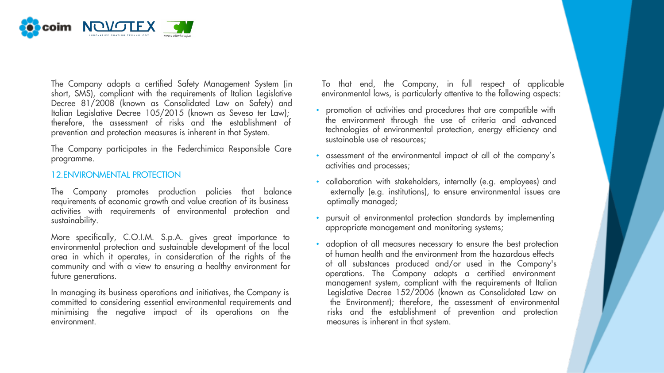

short, SMS), compliant with the requirements of Italian Legislative Decree 81/2008 (known as Consolidated Law on Safety) and Italian Legislative Decree 105/2015 (known as Seveso ter Law); therefore, the assessment of risks and the establishment of prevention and protection measures is inherent in that System.

The Company participates in the Federchimica Responsible Care programme.

### 12.ENVIRONMENTAL PROTECTION

The Company promotes production policies that balance externally (e.g. institutions), to ensure environmental issues are requirements of economic growth and value creation of its business optimally managed; activities with requirements of environmental protection and sustainability.

More specifically, C.O.I.M. S.p.A. gives great importance to environmental protection and sustainable development of the local area in which it operates, in consideration of the rights of the community and with a view to ensuring a healthy environment for future generations.

committed to considering essential environmental requirements and minimising the negative impact of its operations on the risks and the establishment of prevention and protection environment.

The Company adopts a certified Safety Management System (in To that end, the Company, in full respect of applicable short, SMS), compliant with the requirements of Italian Legislative environmental laws, is particularly at

- promotion of activities and procedures that are compatible with the environment through the use of criteria and advanced technologies of environmental protection, energy efficiency and sustainable use of resources;
- assessment of the environmental impact of all of the company's activities and processes;
- collaboration with stakeholders, internally (e.g. employees) and
- pursuit of environmental protection standards by implementing appropriate management and monitoring systems;
- In managing its business operations and initiatives, the Company is Legislative Decree 152/2006 (known as Consolidated Law on committed to considering essential environmental requirements and the Environment); therefore, t • adoption of all measures necessary to ensure the best protection of human health and the environment from the hazardous effects of all substances produced and/or used in the Company's operations. The Company adopts a certified environment management system, compliant with the requirements of Italian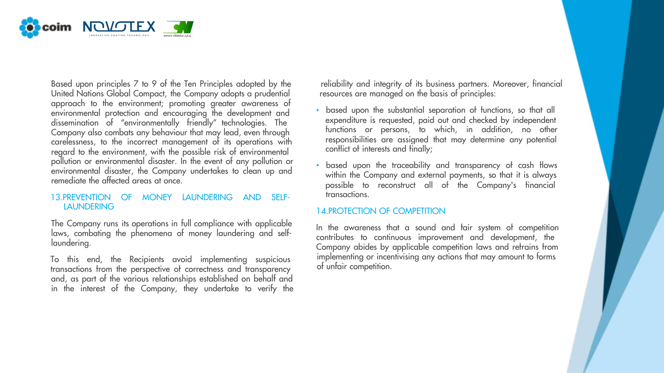

Based upon principles 7 to 9 of the Ten Principles adopted by the reliability and integrity of its business partners. Moreover, financial United Nations Global Compact, the Company adopts a prudential resources are managed on the basis of principles: approach to the environment; promoting greater awareness of environmental protection and encouraging the development and dissemination of "environmentally friendly" technologies. The Company also combats any behaviour that may lead, even through carelessness, to the incorrect management of its operations with regard to the environment, with the possible risk of environmental pollution or environmental disaster. In the event of any pollution or environmental disaster, the Company undertakes to clean up and remediate the affected areas at once.

### LAUNDERING 13.PREVENTION OF MONEY LAUNDERING AND SELF-

The Company runs its operations in full compliance with applicable laws, combating the phenomena of money laundering and selflaundering.

and, as part of the various relationships established on behalf and in the interest of the Company, they undertake to verify the To this end, the Recipients avoid implementing suspicious transactions from the perspective of correctness and transparency

- based upon the substantial separation of functions, so that all expenditure is requested, paid out and checked by independent functions or persons, to which, in addition, no other responsibilities are assigned that may determine any potential conflict of interests and finally;
- transactions. • based upon the traceability and transparency of cash flows within the Company and external payments, so that it is always possible to reconstruct all of the Company's financial

## 14.PROTECTION OF COMPETITION

implementing or incentivising any actions that may amount to forms of unfair competition. In the awareness that a sound and fair system of competition contributes to continuous improvement and development, the Company abides by applicable competition laws and refrains from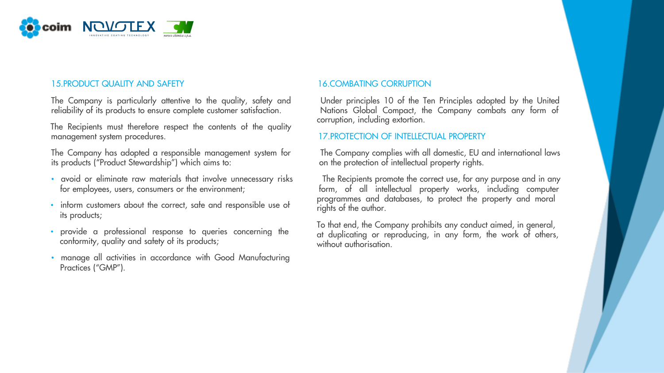

## 15.PRODUCT QUALITY AND SAFETY 16.COMBATING CORRUPTION

The Company is particularly attentive to the quality, safety and Under principles 10 of the Ten Principles adopted by the United reliability of its products to ensure complete customer satisfaction. Nations Global Compact, the Company combats any form of

management system procedures. 17.PROTECTION OF INTELLECTUAL PROPERTY The Recipients must therefore respect the contents of the quality

its products ("Product Stewardship") which aims to: on the protection of intellectual property rights.

- avoid or eliminate raw materials that involve unnecessary risks The Recipients promote the correct use, for any purpose and in any
- inform customers about the correct, safe and responsible use of its products;
- provide a professional response to queries concerning the conformity, quality and safety of its products;
- manage all activities in accordance with Good Manufacturing Practices ("GMP").

corruption, including extortion.

The Company has adopted a responsible management system for The Company complies with all domestic, EU and international laws

for employees, users, consumers or the environment; form, of all intellectual property works, including computer programmes and databases, to protect the property and moral rights of the author.

> To that end, the Company prohibits any conduct aimed, in general, at duplicating or reproducing, in any form, the work of others, without authorisation.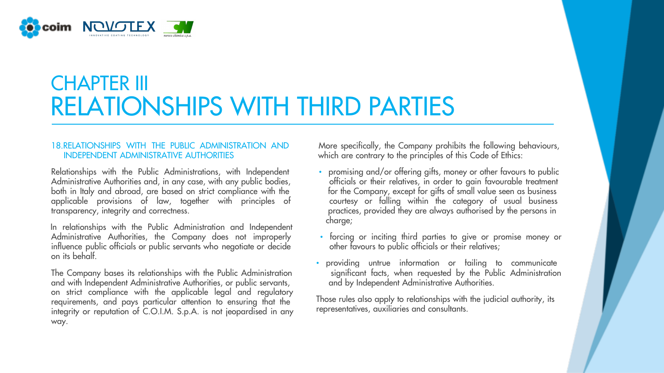

## CHAPTER III RELATIONSHIPS WITH THIRD PARTIES

## INDEPENDENT ADMINISTRATIVE AUTHORITIES which are contrary to the principles of this Code of Ethics:

Administrative Authorities and, in any case, with any public bodies, excellence officials or their relatives, in order to gain favourable treatment both in Italy and abroad, are based on strict compliance with the for the applicable provisions of law, together with principles of courtesy or falling within the category of usual business transparency, integrity and correctness. The provided they are always authorised by the persons in

Administrative Authorities, the Company does not improperly • forcing or inciting third parties to give or promise money or influence public officials or public officials or public officials or their relatives; influence public officials or public servants who negotiate or decide on its behalf. In relationships with the Public Administration and Independent

and with Independent Administrative Authorities, or public servants, on strict compliance with the applicable legal and regulatory requirements, and pays particular attention to ensuring that the integrity or reputation of C.O.I.M. S.p.A. is not jeopardised in any way.

18.RELATIONSHIPS WITH THE PUBLIC ADMINISTRATION AND More specifically, the Company prohibits the following behaviours,

- Relationships with the Public Administrations, with Independent promising and/or offering gifts, money or other favours to public for the Company, except for gifts of small value seen as business charge;
	-
- The Company bases its relationships with the Public Administration significant facts, when requested by the Public Administration and with Independent Administration and with Independent Administrative Authorities. • providing untrue information or failing to communicate

Those rules also apply to relationships with the judicial authority, its representatives, auxiliaries and consultants.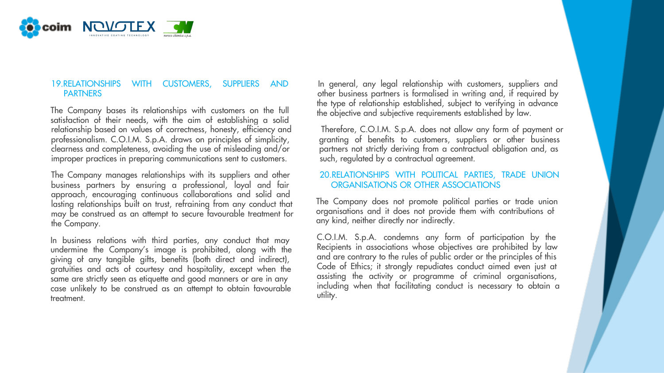

relationship based on values of correctness, honesty, efficiency and Therefore, C.O.I.M. S.p.A. does not allow any form of payment or professionalism. C.O.I.M. S.p.A. draws on principles of simplicity, granting of benefits to customers, suppliers or other business clearness and completeness, avoiding the use of misleading and/or partners not strictly deriving from a contractual obligation and, as improper practices in preparing communications sent to customers. Such, regulated by a contractual agreement. The Company bases its relationships with customers on the full satisfaction of their needs, with the aim of establishing a solid

The Company manages relationships with its suppliers and other 20.RELATIONSHIPS WITH POLITICAL PARTIES, TRADE UNION business partners by ensuring a professional, loyal and fair ORGANISATIONS OR OTHER ASSOCIATIONS approach, encouraging continuous collaborations and solid and lasting relationships built on trust, refraining from any conduct that may be construed as an attempt to secure favourable treatment for the Company.

In business relations with third parties, any conduct that may undermine the Company's image is prohibited, along with the giving of any tangible gifts, benefits (both direct and indirect), gratuities and acts of courtesy and hospitality, except when the same are strictly seen as etiquette and good manners or are in any case unlikely to be construed as an attempt to obtain favourable treatment.

19.RELATIONSHIPS WITH CUSTOMERS, SUPPLIERS AND In general, any legal relationship with customers, suppliers and PARTNERS **PARTNERS PARTNERS** *PARTNERS PARTNERS PARTNERS PARTNERS PARTNERS PARTNERS PARTNERS PARTNERS PARTNERS PARTNERS PARTNERS PARTNERS PARTNERS PARTNERS PARTNER* the type of relationship established, subject to verifying in advance the objective and subjective requirements established by law.

The Company does not promote political parties or trade union organisations and it does not provide them with contributions of any kind, neither directly nor indirectly.

C.O.I.M. S.p.A. condemns any form of participation by the Recipients in associations whose objectives are prohibited by law and are contrary to the rules of public order or the principles of this Code of Ethics; it strongly repudiates conduct aimed even just at assisting the activity or programme of criminal organisations, including when that facilitating conduct is necessary to obtain a utility.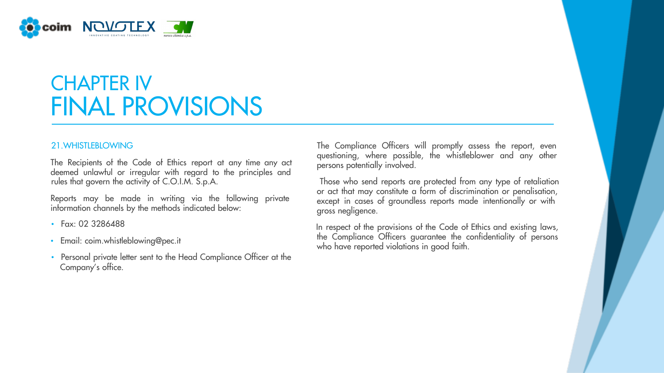

## CHAPTER IV FINAL PROVISIONS

rules that govern the activity of C.O.I.M. S.p.A. Those who send reports are protected from any type of retaliation The Recipients of the Code of Ethics report at any time any act deemed unlawful or irregular with regard to the principles and

Reports may be made in writing via the following private information channels by the methods indicated below:

- Fax: 02 3286488
- Email: coim.whistleblowing@pec.it
- Personal private letter sent to the Head Compliance Officer at the Company's office.

21. WHISTLEBLOWING **The Compliance Officers** will promptly assess the report, even questioning, where possible, the whistleblower and any other persons potentially involved.

> or act that may constitute a form of discrimination or penalisation, except in cases of groundless reports made intentionally or with gross negligence.

> the Compliance Officers guarantee the confidentiality of persons who have reported violations in good faith. In respect of the provisions of the Code of Ethics and existing laws,